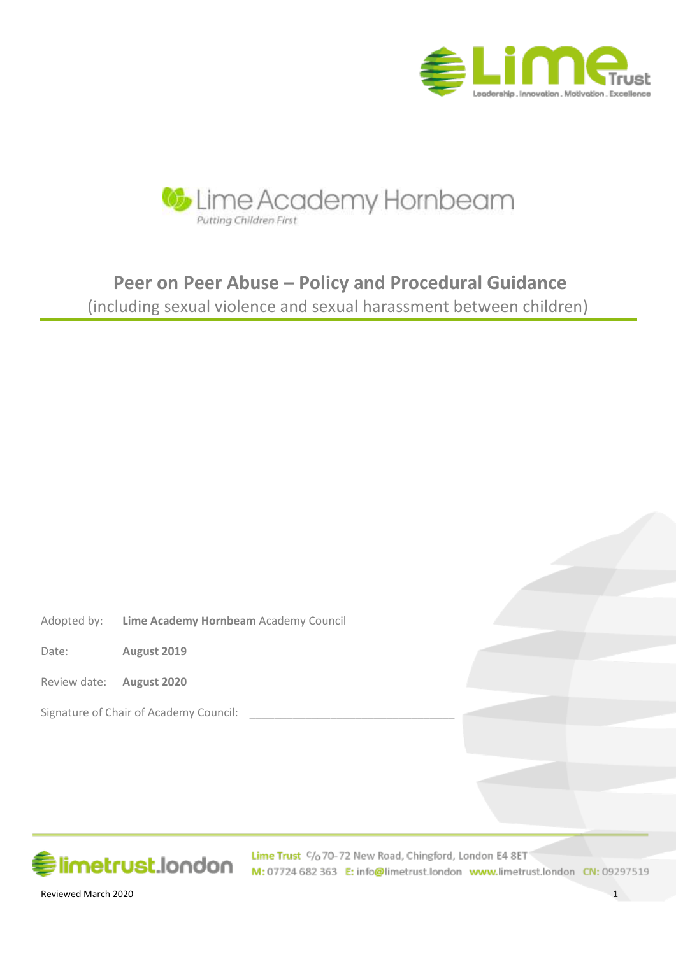



# **Peer on Peer Abuse – Policy and Procedural Guidance**

(including sexual violence and sexual harassment between children)

Adopted by: **Lime Academy Hornbeam** Academy Council

Date: **August 2019**

Review date: **August 2020**

Signature of Chair of Academy Council:



Lime Trust C/o 70-72 New Road, Chingford, London E4 8ET M: 07724 682 363 E: info@limetrust.london www.limetrust.london CN: 09297519

Reviewed March 2020 1 and 2020 1 and 2020 1 and 2020 1 and 2020 1 and 2020 1 and 2020 1 and 2020 1 and 2020 1 and 2020 1 and 2020 1 and 2020 1 and 2020 1 and 2020 1 and 2020 1 and 2020 1 and 2020 1 and 2020 1 and 2020 1 an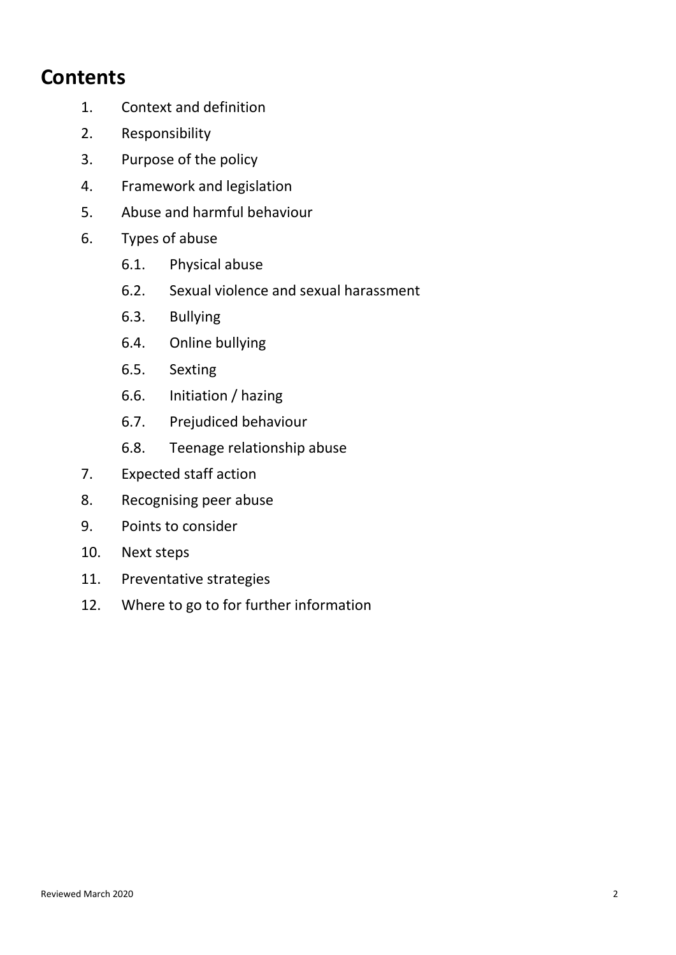## **Contents**

- 1. Context and definition
- 2. Responsibility
- 3. Purpose of the policy
- 4. Framework and legislation
- 5. Abuse and harmful behaviour
- 6. Types of abuse
	- 6.1. Physical abuse
	- 6.2. Sexual violence and sexual harassment
	- 6.3. Bullying
	- 6.4. Online bullying
	- 6.5. Sexting
	- 6.6. Initiation / hazing
	- 6.7. Prejudiced behaviour
	- 6.8. Teenage relationship abuse
- 7. Expected staff action
- 8. Recognising peer abuse
- 9. Points to consider
- 10. Next steps
- 11. Preventative strategies
- 12. Where to go to for further information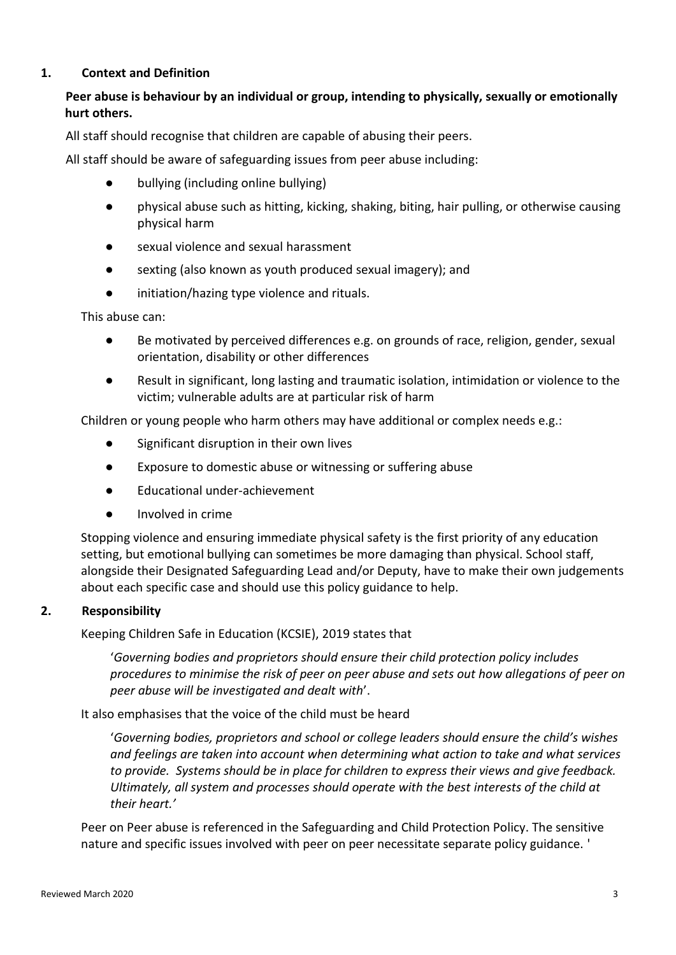#### **1. Context and Definition**

## **Peer abuse is behaviour by an individual or group, intending to physically, sexually or emotionally hurt others.**

All staff should recognise that children are capable of abusing their peers.

All staff should be aware of safeguarding issues from peer abuse including:

- bullying (including online bullying)
- physical abuse such as hitting, kicking, shaking, biting, hair pulling, or otherwise causing physical harm
- sexual violence and sexual harassment
- sexting (also known as youth produced sexual imagery); and
- initiation/hazing type violence and rituals.

This abuse can:

- Be motivated by perceived differences e.g. on grounds of race, religion, gender, sexual orientation, disability or other differences
- Result in significant, long lasting and traumatic isolation, intimidation or violence to the victim; vulnerable adults are at particular risk of harm

Children or young people who harm others may have additional or complex needs e.g.:

- Significant disruption in their own lives
- Exposure to domestic abuse or witnessing or suffering abuse
- Educational under-achievement
- Involved in crime

Stopping violence and ensuring immediate physical safety is the first priority of any education setting, but emotional bullying can sometimes be more damaging than physical. School staff, alongside their Designated Safeguarding Lead and/or Deputy, have to make their own judgements about each specific case and should use this policy guidance to help.

#### **2. Responsibility**

Keeping Children Safe in Education (KCSIE), 2019 states that

'*Governing bodies and proprietors should ensure their child protection policy includes procedures to minimise the risk of peer on peer abuse and sets out how allegations of peer on peer abuse will be investigated and dealt with*'.

It also emphasises that the voice of the child must be heard

'*Governing bodies, proprietors and school or college leaders should ensure the child's wishes and feelings are taken into account when determining what action to take and what services to provide. Systems should be in place for children to express their views and give feedback. Ultimately, all system and processes should operate with the best interests of the child at their heart.'*

Peer on Peer abuse is referenced in the Safeguarding and Child Protection Policy. The sensitive nature and specific issues involved with peer on peer necessitate separate policy guidance. '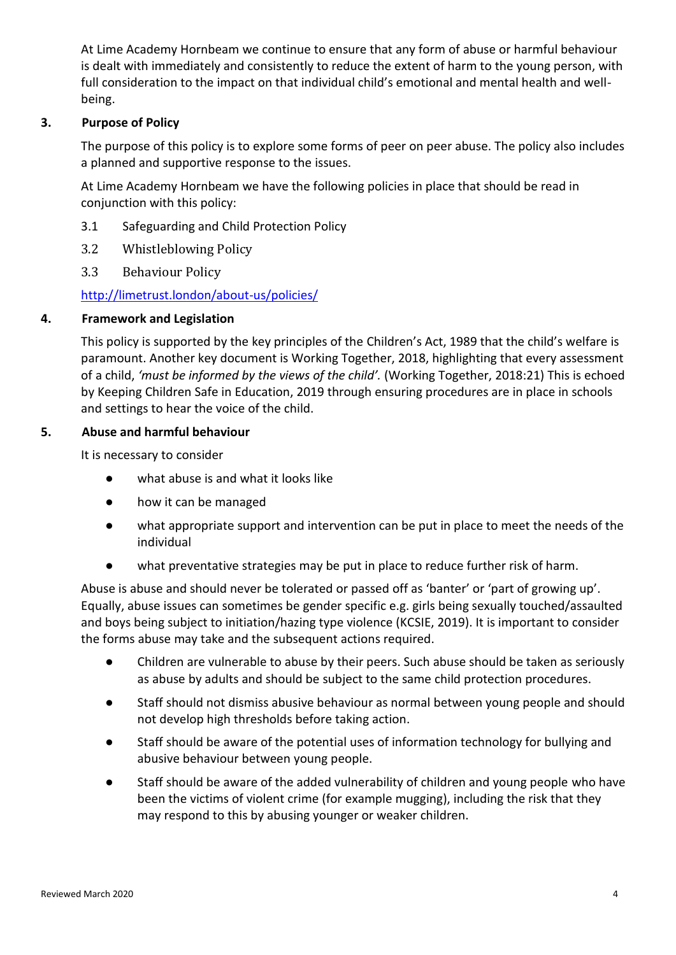At Lime Academy Hornbeam we continue to ensure that any form of abuse or harmful behaviour is dealt with immediately and consistently to reduce the extent of harm to the young person, with full consideration to the impact on that individual child's emotional and mental health and wellbeing.

## **3. Purpose of Policy**

The purpose of this policy is to explore some forms of peer on peer abuse. The policy also includes a planned and supportive response to the issues.

At Lime Academy Hornbeam we have the following policies in place that should be read in conjunction with this policy:

- 3.1 Safeguarding and Child Protection Policy
- 3.2 Whistleblowing Policy
- 3.3 Behaviour Policy

<http://limetrust.london/about-us/policies/>

#### **4. Framework and Legislation**

This policy is supported by the key principles of the Children's Act, 1989 that the child's welfare is paramount. Another key document is Working Together, 2018, highlighting that every assessment of a child, *'must be informed by the views of the child'.* (Working Together, 2018:21) This is echoed by Keeping Children Safe in Education, 2019 through ensuring procedures are in place in schools and settings to hear the voice of the child.

#### **5. Abuse and harmful behaviour**

It is necessary to consider

- what abuse is and what it looks like
- how it can be managed
- what appropriate support and intervention can be put in place to meet the needs of the individual
- what preventative strategies may be put in place to reduce further risk of harm.

Abuse is abuse and should never be tolerated or passed off as 'banter' or 'part of growing up'. Equally, abuse issues can sometimes be gender specific e.g. girls being sexually touched/assaulted and boys being subject to initiation/hazing type violence (KCSIE, 2019). It is important to consider the forms abuse may take and the subsequent actions required.

- Children are vulnerable to abuse by their peers. Such abuse should be taken as seriously as abuse by adults and should be subject to the same child protection procedures.
- Staff should not dismiss abusive behaviour as normal between young people and should not develop high thresholds before taking action.
- Staff should be aware of the potential uses of information technology for bullying and abusive behaviour between young people.
- Staff should be aware of the added vulnerability of children and young people who have been the victims of violent crime (for example mugging), including the risk that they may respond to this by abusing younger or weaker children.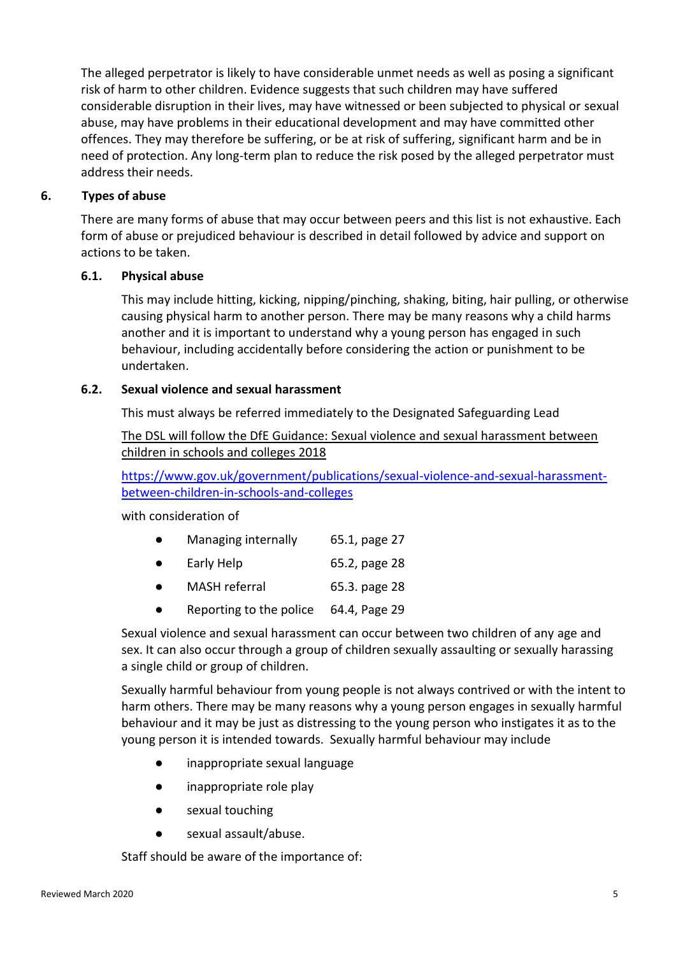The alleged perpetrator is likely to have considerable unmet needs as well as posing a significant risk of harm to other children. Evidence suggests that such children may have suffered considerable disruption in their lives, may have witnessed or been subjected to physical or [sexual](http://trixresources.proceduresonline.com/nat_key/keywords/sexual_abuse.html)  [abuse,](http://trixresources.proceduresonline.com/nat_key/keywords/sexual_abuse.html) may have problems in their educational development and may have committed other offences. They may therefore be suffering, or be at risk of suffering, [significant harm](http://trixresources.proceduresonline.com/nat_key/keywords/significant_harm.html) and be in need of protection. Any long-term plan to reduce the risk posed by the alleged perpetrator must address their needs.

## **6. Types of abuse**

There are many forms of abuse that may occur between peers and this list is not exhaustive. Each form of abuse or prejudiced behaviour is described in detail followed by advice and support on actions to be taken.

## **6.1. Physical abuse**

This may include hitting, kicking, nipping/pinching, shaking, biting, hair pulling, or otherwise causing physical harm to another person. There may be many reasons why a child harms another and it is important to understand why a young person has engaged in such behaviour, including accidentally before considering the action or punishment to be undertaken.

## **6.2. Sexual violence and sexual harassment**

This must always be referred immediately to the Designated Safeguarding Lead

The DSL will follow the DfE Guidance[: Sexual violence and sexual harassment between](https://www.gov.uk/government/uploads/system/uploads/attachment_data/file/719902/Sexual_violence_and_sexual_harassment_between_children_in_schools_and_colleges.pdf)  [children in schools and colleges](https://www.gov.uk/government/uploads/system/uploads/attachment_data/file/719902/Sexual_violence_and_sexual_harassment_between_children_in_schools_and_colleges.pdf) 2018

[https://www.gov.uk/government/publications/sexual-violence-and-sexual-harassment](https://www.gov.uk/government/publications/sexual-violence-and-sexual-harassment-between-children-in-schools-and-colleges)[between-children-in-schools-and-colleges](https://www.gov.uk/government/publications/sexual-violence-and-sexual-harassment-between-children-in-schools-and-colleges)

with consideration of

|  | Managing internally | 65.1, page 27 |
|--|---------------------|---------------|
|--|---------------------|---------------|

- Early Help 65.2, page 28
- MASH referral 65.3. page 28
- Reporting to the police 64.4, Page 29

Sexual violence and sexual harassment can occur between two children of any age and sex. It can also occur through a group of children sexually assaulting or sexually harassing a single child or group of children.

Sexually harmful behaviour from young people is not always contrived or with the intent to harm others. There may be many reasons why a young person engages in sexually harmful behaviour and it may be just as distressing to the young person who instigates it as to the young person it is intended towards. Sexually harmful behaviour may include

- inappropriate sexual language
- inappropriate role play
- sexual touching
- sexual assault/abuse.

Staff should be aware of the importance of: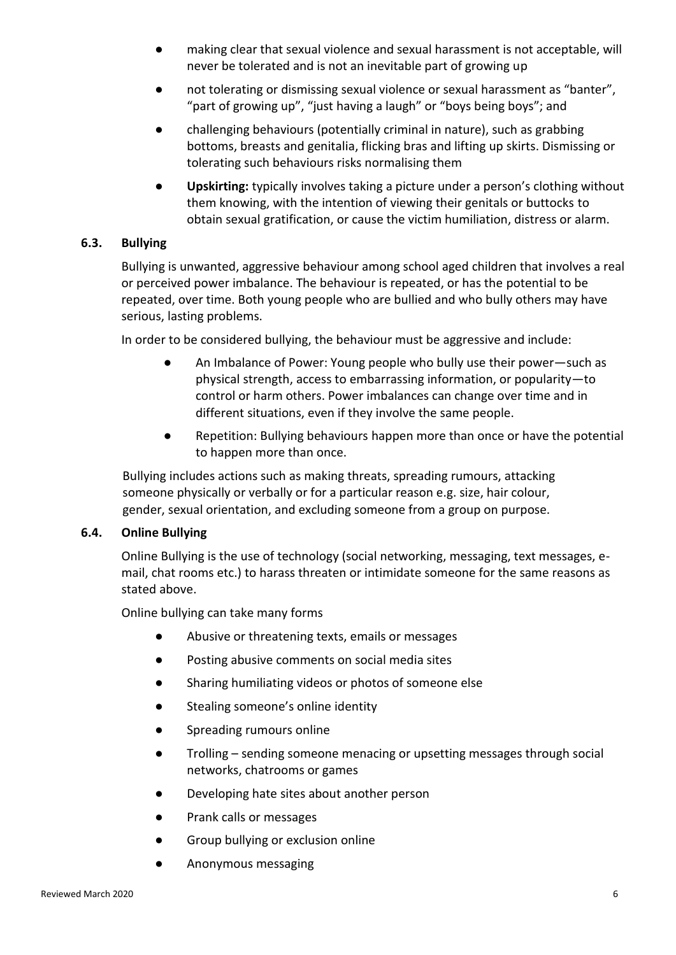- making clear that sexual violence and sexual harassment is not acceptable, will never be tolerated and is not an inevitable part of growing up
- not tolerating or dismissing sexual violence or sexual harassment as "banter", "part of growing up", "just having a laugh" or "boys being boys"; and
- challenging behaviours (potentially criminal in nature), such as grabbing bottoms, breasts and genitalia, flicking bras and lifting up skirts. Dismissing or tolerating such behaviours risks normalising them
- **Upskirting:** typically involves taking a picture under a person's clothing without them knowing, with the intention of viewing their genitals or buttocks to obtain sexual gratification, or cause the victim humiliation, distress or alarm.

## **6.3. Bullying**

Bullying is unwanted, aggressive behaviour among school aged children that involves a real or perceived power imbalance. The behaviour is repeated, or has the potential to be repeated, over time. Both young people who are bullied and who bully others may have serious, lasting problems.

In order to be considered bullying, the behaviour must be aggressive and include:

- An Imbalance of Power: Young people who bully use their power—such as physical strength, access to embarrassing information, or popularity—to control or harm others. Power imbalances can change over time and in different situations, even if they involve the same people.
- Repetition: Bullying behaviours happen more than once or have the potential to happen more than once.

Bullying includes actions such as making threats, spreading rumours, attacking someone physically or verbally or for a particular reason e.g. size, hair colour, gender, sexual orientation, and excluding someone from a group on purpose.

## **6.4. Online Bullying**

Online Bullying is the use of technology (social networking, messaging, text messages, email, chat rooms etc.) to harass threaten or intimidate someone for the same reasons as stated above.

Online bullying can take many forms

- Abusive or threatening texts, emails or messages
- Posting abusive comments on social media sites
- Sharing humiliating videos or photos of someone else
- Stealing someone's online identity
- Spreading rumours online
- Trolling sending someone menacing or upsetting messages through social networks, chatrooms or games
- Developing hate sites about another person
- Prank calls or messages
- Group bullying or exclusion online
- Anonymous messaging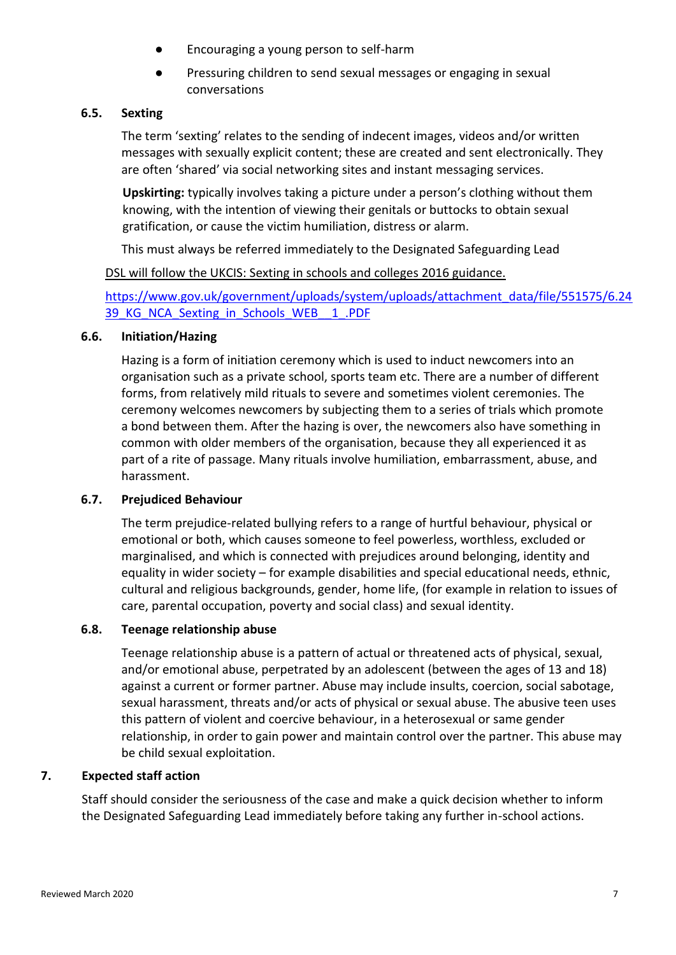- Encouraging a young person to self-harm
- Pressuring children to send sexual messages or engaging in sexual conversations

#### **6.5. Sexting**

The term 'sexting' relates to the sending of indecent images, videos and/or written messages with sexually explicit content; these are created and sent electronically. They are often 'shared' via social networking sites and instant messaging services.

**Upskirting:** typically involves taking a picture under a person's clothing without them knowing, with the intention of viewing their genitals or buttocks to obtain sexual gratification, or cause the victim humiliation, distress or alarm.

This must always be referred immediately to the Designated Safeguarding Lead

DSL will follow the UKCIS: Sexting in schools and colleges 2016 guidance.

[https://www.gov.uk/government/uploads/system/uploads/attachment\\_data/file/551575/6.24](https://www.gov.uk/government/uploads/system/uploads/attachment_data/file/551575/6.2439_KG_NCA_Sexting_in_Schools_WEB__1_.PDF) 39\_KG\_NCA\_Sexting\_in\_Schools\_WEB\_1\_.PDF

#### **6.6. Initiation/Hazing**

Hazing is a form of initiation ceremony which is used to induct newcomers into an organisation such as a private school, sports team etc. There are a number of different forms, from relatively mild rituals to severe and sometimes violent ceremonies. The ceremony welcomes newcomers by subjecting them to a series of trials which promote a bond between them. After the hazing is over, the newcomers also have something in common with older members of the organisation, because they all experienced it as part of a rite of passage. Many rituals involve humiliation, embarrassment, abuse, and harassment.

#### **6.7. Prejudiced Behaviour**

The term prejudice-related bullying refers to a range of hurtful behaviour, physical or emotional or both, which causes someone to feel powerless, worthless, excluded or marginalised, and which is connected with prejudices around belonging, identity and equality in wider society – for example disabilities and special educational needs, ethnic, cultural and religious backgrounds, gender, home life, (for example in relation to issues of care, parental occupation, poverty and social class) and sexual identity.

#### **6.8. Teenage relationship abuse**

Teenage relationship abuse is a pattern of actual or threatened acts of physical, sexual, and/or emotional abuse, perpetrated by an adolescent (between the ages of 13 and 18) against a current or former partner. Abuse may include insults, coercion, social sabotage, sexual harassment, threats and/or acts of physical or sexual abuse. The abusive teen uses this pattern of violent and coercive behaviour, in a heterosexual or same gender relationship, in order to gain power and maintain control over the partner. This abuse may be child sexual exploitation.

#### **7. Expected staff action**

Staff should consider the seriousness of the case and make a quick decision whether to inform the Designated Safeguarding Lead immediately before taking any further in-school actions.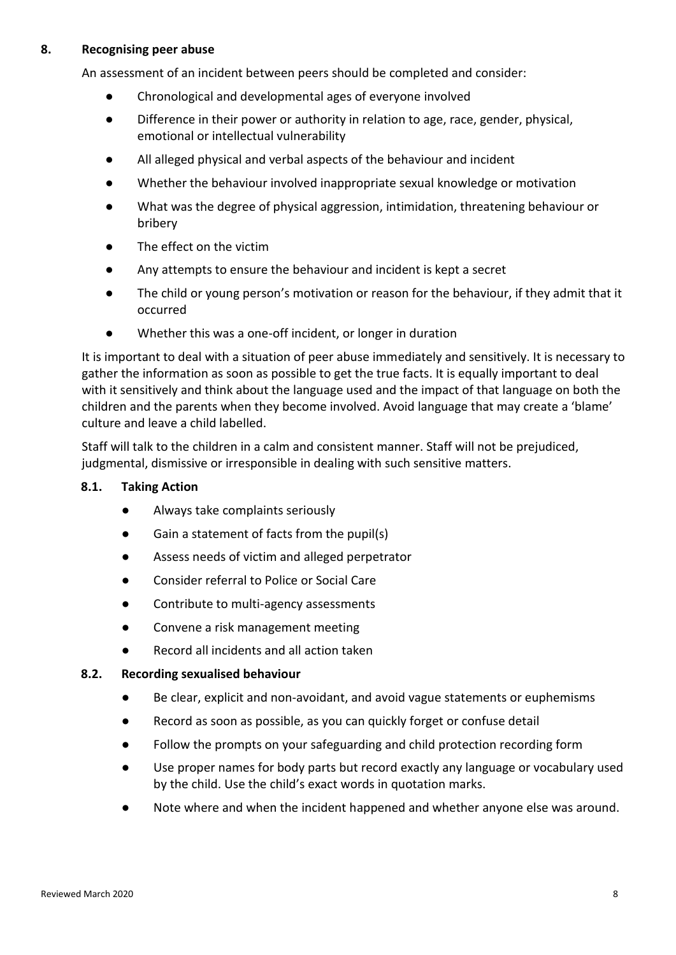#### **8. Recognising peer abuse**

An assessment of an incident between peers should be completed and consider:

- Chronological and developmental ages of everyone involved
- Difference in their power or authority in relation to age, race, gender, physical, emotional or intellectual vulnerability
- All alleged physical and verbal aspects of the behaviour and incident
- Whether the behaviour involved inappropriate sexual knowledge or motivation
- What was the degree of physical aggression, intimidation, threatening behaviour or bribery
- The effect on the victim
- Any attempts to ensure the behaviour and incident is kept a secret
- The child or young person's motivation or reason for the behaviour, if they admit that it occurred
- Whether this was a one-off incident, or longer in duration

It is important to deal with a situation of peer abuse immediately and sensitively. It is necessary to gather the information as soon as possible to get the true facts. It is equally important to deal with it sensitively and think about the language used and the impact of that language on both the children and the parents when they become involved. Avoid language that may create a 'blame' culture and leave a child labelled.

Staff will talk to the children in a calm and consistent manner. Staff will not be prejudiced, judgmental, dismissive or irresponsible in dealing with such sensitive matters.

#### **8.1. Taking Action**

- Always take complaints seriously
- Gain a statement of facts from the pupil(s)
- Assess needs of victim and alleged perpetrator
- Consider referral to Police or Social Care
- Contribute to multi-agency assessments
- Convene a risk management meeting
- Record all incidents and all action taken

#### **8.2. Recording sexualised behaviour**

- Be clear, explicit and non-avoidant, and avoid vague statements or euphemisms
- Record as soon as possible, as you can quickly forget or confuse detail
- Follow the prompts on your safeguarding and child protection recording form
- Use proper names for body parts but record exactly any language or vocabulary used by the child. Use the child's exact words in quotation marks.
- Note where and when the incident happened and whether anyone else was around.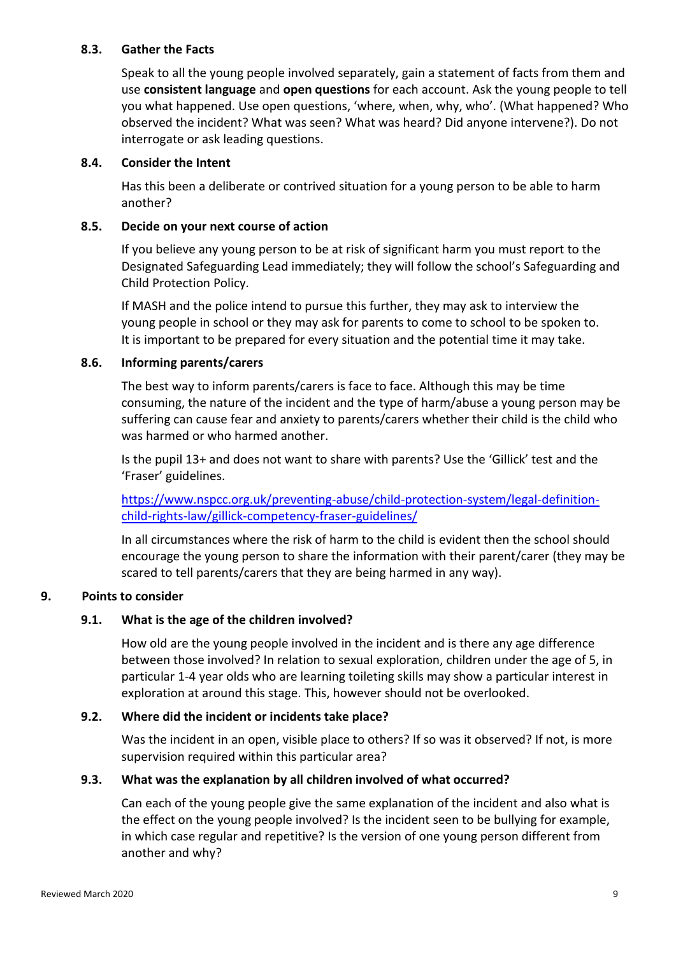#### **8.3. Gather the Facts**

Speak to all the young people involved separately, gain a statement of facts from them and use **consistent language** and **open questions** for each account. Ask the young people to tell you what happened. Use open questions, 'where, when, why, who'. (What happened? Who observed the incident? What was seen? What was heard? Did anyone intervene?). Do not interrogate or ask leading questions.

#### **8.4. Consider the Intent**

Has this been a deliberate or contrived situation for a young person to be able to harm another?

#### **8.5. Decide on your next course of action**

If you believe any young person to be at risk of significant harm you must report to the Designated Safeguarding Lead immediately; they will follow the school's Safeguarding and Child Protection Policy.

If MASH and the police intend to pursue this further, they may ask to interview the young people in school or they may ask for parents to come to school to be spoken to. It is important to be prepared for every situation and the potential time it may take.

#### **8.6. Informing parents/carers**

The best way to inform parents/carers is face to face. Although this may be time consuming, the nature of the incident and the type of harm/abuse a young person may be suffering can cause fear and anxiety to parents/carers whether their child is the child who was harmed or who harmed another.

Is the pupil 13+ and does not want to share with parents? Use the 'Gillick' test and the 'Fraser' guidelines.

[https://www.nspcc.org.uk/preventing-abuse/child-protection-system/legal-definition](https://www.nspcc.org.uk/preventing-abuse/child-protection-system/legal-definition-child-rights-law/gillick-competency-fraser-guidelines/)[child-rights-law/gillick-competency-fraser-guidelines/](https://www.nspcc.org.uk/preventing-abuse/child-protection-system/legal-definition-child-rights-law/gillick-competency-fraser-guidelines/)

In all circumstances where the risk of harm to the child is evident then the school should encourage the young person to share the information with their parent/carer (they may be scared to tell parents/carers that they are being harmed in any way).

## **9. Points to consider**

## **9.1. What is the age of the children involved?**

How old are the young people involved in the incident and is there any age difference between those involved? In relation to sexual exploration, children under the age of 5, in particular 1-4 year olds who are learning toileting skills may show a particular interest in exploration at around this stage. This, however should not be overlooked.

#### **9.2. Where did the incident or incidents take place?**

Was the incident in an open, visible place to others? If so was it observed? If not, is more supervision required within this particular area?

#### **9.3. What was the explanation by all children involved of what occurred?**

Can each of the young people give the same explanation of the incident and also what is the effect on the young people involved? Is the incident seen to be bullying for example, in which case regular and repetitive? Is the version of one young person different from another and why?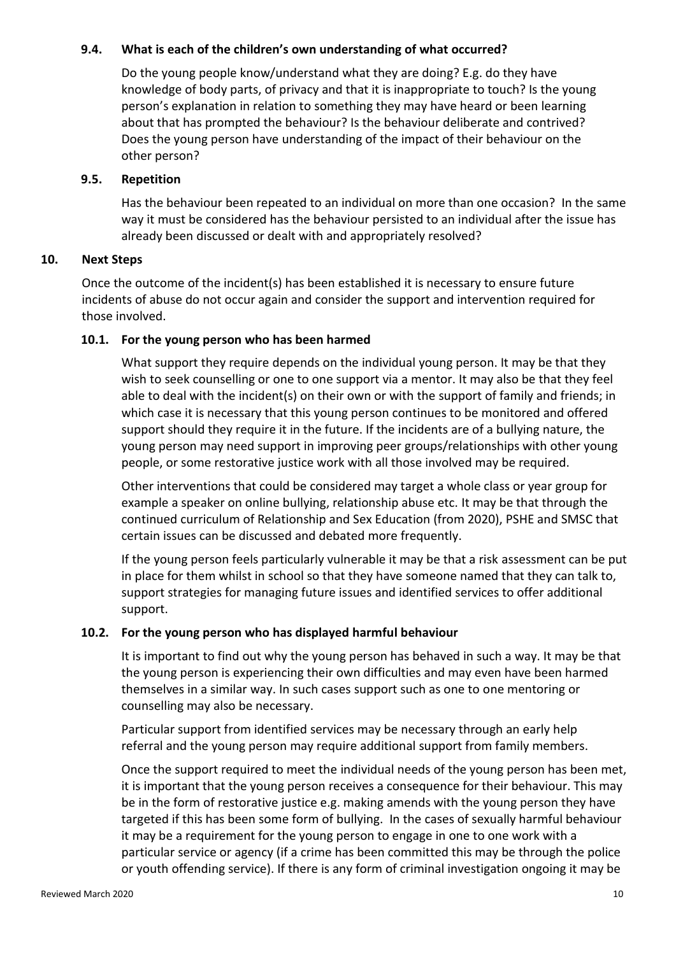#### **9.4. What is each of the children's own understanding of what occurred?**

Do the young people know/understand what they are doing? E.g. do they have knowledge of body parts, of privacy and that it is inappropriate to touch? Is the young person's explanation in relation to something they may have heard or been learning about that has prompted the behaviour? Is the behaviour deliberate and contrived? Does the young person have understanding of the impact of their behaviour on the other person?

#### **9.5. Repetition**

Has the behaviour been repeated to an individual on more than one occasion? In the same way it must be considered has the behaviour persisted to an individual after the issue has already been discussed or dealt with and appropriately resolved?

#### **10. Next Steps**

Once the outcome of the incident(s) has been established it is necessary to ensure future incidents of abuse do not occur again and consider the support and intervention required for those involved.

#### **10.1. For the young person who has been harmed**

What support they require depends on the individual young person. It may be that they wish to seek counselling or one to one support via a mentor. It may also be that they feel able to deal with the incident(s) on their own or with the support of family and friends; in which case it is necessary that this young person continues to be monitored and offered support should they require it in the future. If the incidents are of a bullying nature, the young person may need support in improving peer groups/relationships with other young people, or some restorative justice work with all those involved may be required.

Other interventions that could be considered may target a whole class or year group for example a speaker on online bullying, relationship abuse etc. It may be that through the continued curriculum of Relationship and Sex Education (from 2020), PSHE and SMSC that certain issues can be discussed and debated more frequently.

If the young person feels particularly vulnerable it may be that a risk assessment can be put in place for them whilst in school so that they have someone named that they can talk to, support strategies for managing future issues and identified services to offer additional support.

## **10.2. For the young person who has displayed harmful behaviour**

It is important to find out why the young person has behaved in such a way. It may be that the young person is experiencing their own difficulties and may even have been harmed themselves in a similar way. In such cases support such as one to one mentoring or counselling may also be necessary.

Particular support from identified services may be necessary through an early help referral and the young person may require additional support from family members.

Once the support required to meet the individual needs of the young person has been met, it is important that the young person receives a consequence for their behaviour. This may be in the form of restorative justice e.g. making amends with the young person they have targeted if this has been some form of bullying. In the cases of sexually harmful behaviour it may be a requirement for the young person to engage in one to one work with a particular service or agency (if a crime has been committed this may be through the police or youth offending service). If there is any form of criminal investigation ongoing it may be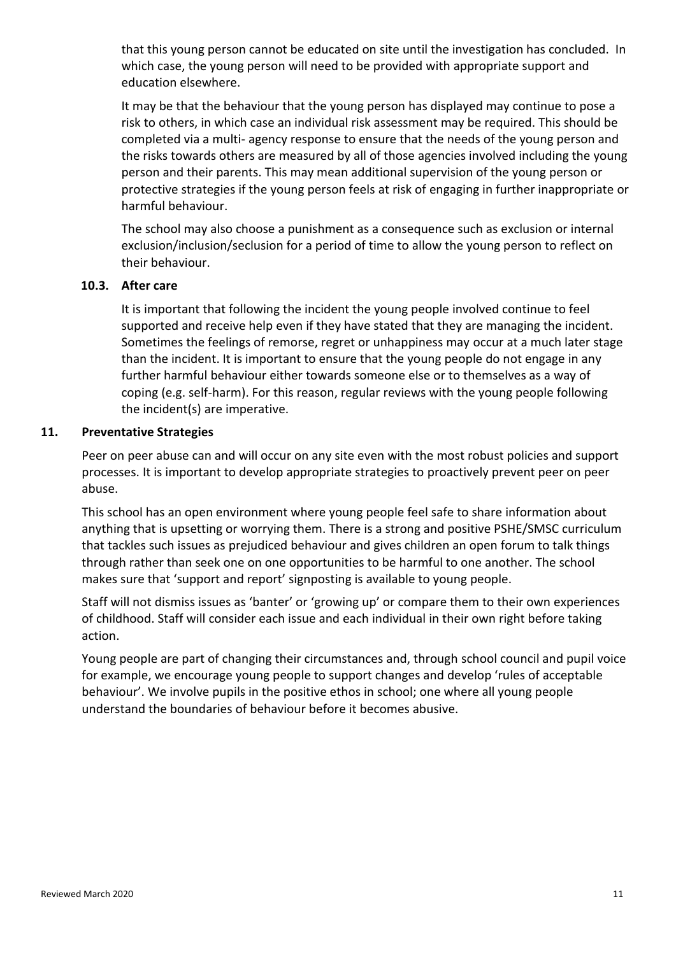that this young person cannot be educated on site until the investigation has concluded. In which case, the young person will need to be provided with appropriate support and education elsewhere.

It may be that the behaviour that the young person has displayed may continue to pose a risk to others, in which case an individual risk assessment may be required. This should be completed via a multi- agency response to ensure that the needs of the young person and the risks towards others are measured by all of those agencies involved including the young person and their parents. This may mean additional supervision of the young person or protective strategies if the young person feels at risk of engaging in further inappropriate or harmful behaviour.

The school may also choose a punishment as a consequence such as exclusion or internal exclusion/inclusion/seclusion for a period of time to allow the young person to reflect on their behaviour.

#### **10.3. After care**

It is important that following the incident the young people involved continue to feel supported and receive help even if they have stated that they are managing the incident. Sometimes the feelings of remorse, regret or unhappiness may occur at a much later stage than the incident. It is important to ensure that the young people do not engage in any further harmful behaviour either towards someone else or to themselves as a way of coping (e.g. self-harm). For this reason, regular reviews with the young people following the incident(s) are imperative.

#### **11. Preventative Strategies**

Peer on peer abuse can and will occur on any site even with the most robust policies and support processes. It is important to develop appropriate strategies to proactively prevent peer on peer abuse.

This school has an open environment where young people feel safe to share information about anything that is upsetting or worrying them. There is a strong and positive PSHE/SMSC curriculum that tackles such issues as prejudiced behaviour and gives children an open forum to talk things through rather than seek one on one opportunities to be harmful to one another. The school makes sure that 'support and report' signposting is available to young people.

Staff will not dismiss issues as 'banter' or 'growing up' or compare them to their own experiences of childhood. Staff will consider each issue and each individual in their own right before taking action.

Young people are part of changing their circumstances and, through school council and pupil voice for example, we encourage young people to support changes and develop 'rules of acceptable behaviour'. We involve pupils in the positive ethos in school; one where all young people understand the boundaries of behaviour before it becomes abusive.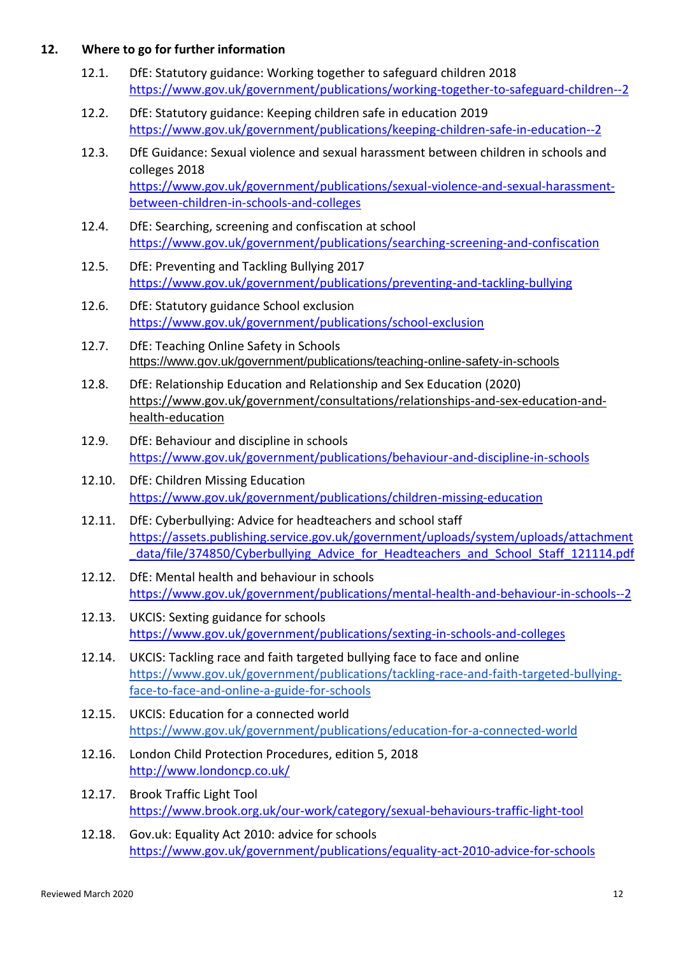#### **12. Where to go for further information**

- 12.1. DfE: Statutory guidance: Working together to safeguard children 2018 <https://www.gov.uk/government/publications/working-together-to-safeguard-children--2>
- 12.2. DfE: Statutory guidance: Keeping children safe in education 2019 <https://www.gov.uk/government/publications/keeping-children-safe-in-education--2>
- 12.3. DfE Guidance: [Sexual violence and sexual harassment between children in schools and](https://www.gov.uk/government/uploads/system/uploads/attachment_data/file/719902/Sexual_violence_and_sexual_harassment_between_children_in_schools_and_colleges.pdf)  [colleges](https://www.gov.uk/government/uploads/system/uploads/attachment_data/file/719902/Sexual_violence_and_sexual_harassment_between_children_in_schools_and_colleges.pdf) 2018 [https://www.gov.uk/government/publications/sexual-violence-and-sexual-harassment](https://www.gov.uk/government/publications/sexual-violence-and-sexual-harassment-between-children-in-schools-and-colleges)[between-children-in-schools-and-colleges](https://www.gov.uk/government/publications/sexual-violence-and-sexual-harassment-between-children-in-schools-and-colleges)
- 12.4. DfE: Searching, screening and confiscation at school <https://www.gov.uk/government/publications/searching-screening-and-confiscation>
- 12.5. DfE: Preventing and Tackling Bullying 2017 <https://www.gov.uk/government/publications/preventing-and-tackling-bullying>
- 12.6. DfE: Statutory guidance School exclusion <https://www.gov.uk/government/publications/school-exclusion>
- 12.7. DfE: Teaching Online Safety in Schools <https://www.gov.uk/government/publications/teaching-online-safety-in-schools>
- 12.8. DfE: Relationship Education and Relationship and Sex Education (2020) [https://www.gov.uk/government/consultations/relationships-and-sex-education-and](https://www.gov.uk/government/consultations/relationships-and-sex-education-and-health-education)[health-education](https://www.gov.uk/government/consultations/relationships-and-sex-education-and-health-education)
- 12.9. DfE: Behaviour and discipline in schools <https://www.gov.uk/government/publications/behaviour-and-discipline-in-schools>
- 12.10. DfE: Children Missing Education <https://www.gov.uk/government/publications/children-missing-education>
- 12.11. DfE: Cyberbullying: Advice for headteachers and school staff [https://assets.publishing.service.gov.uk/government/uploads/system/uploads/attachment](https://assets.publishing.service.gov.uk/government/uploads/system/uploads/attachment_data/file/374850/Cyberbullying_Advice_for_Headteachers_and_School_Staff_121114.pdf) data/file/374850/Cyberbullying Advice for Headteachers and School Staff 121114.pdf
- 12.12. DfE: Mental health and behaviour in schools <https://www.gov.uk/government/publications/mental-health-and-behaviour-in-schools--2>
- 12.13. UKCIS: Sexting guidance for schools <https://www.gov.uk/government/publications/sexting-in-schools-and-colleges>
- 12.14. UKCIS: Tackling race and faith targeted bullying face to face and online [https://www.gov.uk/government/publications/tackling-race-and-faith-targeted-bullying](https://www.gov.uk/government/publications/tackling-race-and-faith-targeted-bullying-face-to-face-and-online-a-guide-for-schools)[face-to-face-and-online-a-guide-for-schools](https://www.gov.uk/government/publications/tackling-race-and-faith-targeted-bullying-face-to-face-and-online-a-guide-for-schools)
- 12.15. UKCIS: Education for a connected world <https://www.gov.uk/government/publications/education-for-a-connected-world>
- 12.16. London Child Protection Procedures, edition 5, 2018 <http://www.londoncp.co.uk/>
- 12.17. Brook Traffic Light Tool <https://www.brook.org.uk/our-work/category/sexual-behaviours-traffic-light-tool>
- 12.18. Gov.uk: Equality Act 2010: advice for schools <https://www.gov.uk/government/publications/equality-act-2010-advice-for-schools>